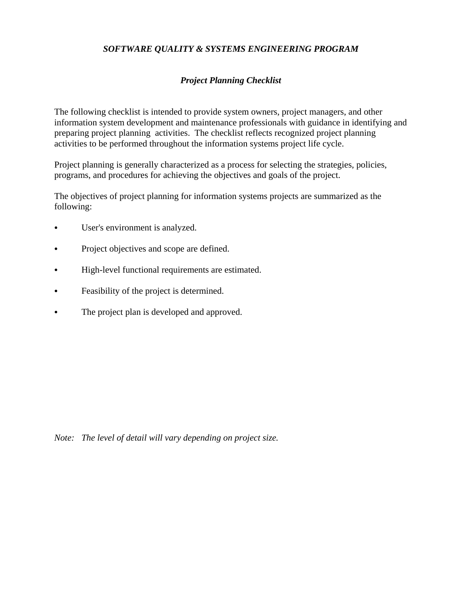## *SOFTWARE QUALITY & SYSTEMS ENGINEERING PROGRAM*

## *Project Planning Checklist*

The following checklist is intended to provide system owners, project managers, and other information system development and maintenance professionals with guidance in identifying and preparing project planning activities. The checklist reflects recognized project planning activities to be performed throughout the information systems project life cycle.

Project planning is generally characterized as a process for selecting the strategies, policies, programs, and procedures for achieving the objectives and goals of the project.

The objectives of project planning for information systems projects are summarized as the following:

- User's environment is analyzed.
- Project objectives and scope are defined.
- High-level functional requirements are estimated.
- Feasibility of the project is determined.
- The project plan is developed and approved.

*Note: The level of detail will vary depending on project size.*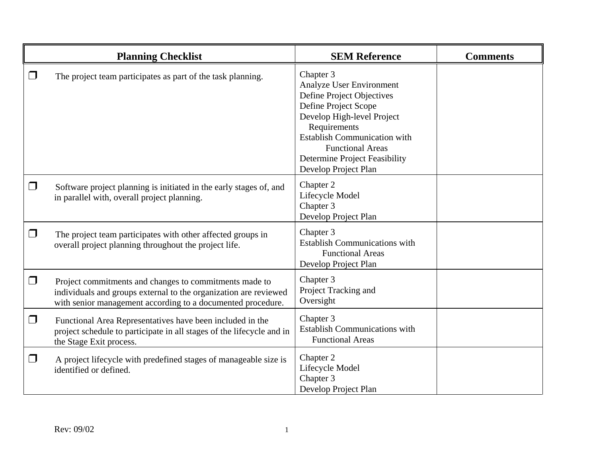|          | <b>Planning Checklist</b>                                                                                                                                                                 | <b>SEM Reference</b>                                                                                                                                                                                                                                                | <b>Comments</b> |
|----------|-------------------------------------------------------------------------------------------------------------------------------------------------------------------------------------------|---------------------------------------------------------------------------------------------------------------------------------------------------------------------------------------------------------------------------------------------------------------------|-----------------|
| $\Box$   | The project team participates as part of the task planning.                                                                                                                               | Chapter 3<br>Analyze User Environment<br>Define Project Objectives<br>Define Project Scope<br>Develop High-level Project<br>Requirements<br><b>Establish Communication with</b><br><b>Functional Areas</b><br>Determine Project Feasibility<br>Develop Project Plan |                 |
| □        | Software project planning is initiated in the early stages of, and<br>in parallel with, overall project planning.                                                                         | Chapter 2<br>Lifecycle Model<br>Chapter 3<br>Develop Project Plan                                                                                                                                                                                                   |                 |
| □        | The project team participates with other affected groups in<br>overall project planning throughout the project life.                                                                      | Chapter 3<br><b>Establish Communications with</b><br><b>Functional Areas</b><br>Develop Project Plan                                                                                                                                                                |                 |
| $\Box$   | Project commitments and changes to commitments made to<br>individuals and groups external to the organization are reviewed<br>with senior management according to a documented procedure. | Chapter 3<br>Project Tracking and<br>Oversight                                                                                                                                                                                                                      |                 |
| $\Box$   | Functional Area Representatives have been included in the<br>project schedule to participate in all stages of the lifecycle and in<br>the Stage Exit process.                             | Chapter 3<br><b>Establish Communications with</b><br><b>Functional Areas</b>                                                                                                                                                                                        |                 |
| $\sqcap$ | A project lifecycle with predefined stages of manageable size is<br>identified or defined.                                                                                                | Chapter 2<br>Lifecycle Model<br>Chapter 3<br>Develop Project Plan                                                                                                                                                                                                   |                 |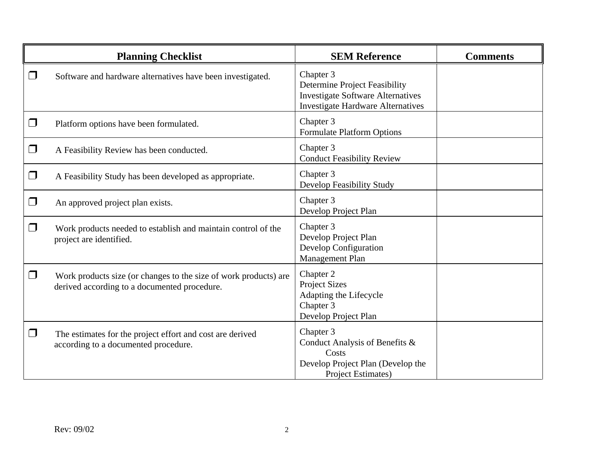|                          | <b>Planning Checklist</b>                                                                                        | <b>SEM Reference</b>                                                                                                               | <b>Comments</b> |
|--------------------------|------------------------------------------------------------------------------------------------------------------|------------------------------------------------------------------------------------------------------------------------------------|-----------------|
| $\Box$                   | Software and hardware alternatives have been investigated.                                                       | Chapter 3<br>Determine Project Feasibility<br><b>Investigate Software Alternatives</b><br><b>Investigate Hardware Alternatives</b> |                 |
| $\Box$                   | Platform options have been formulated.                                                                           | Chapter 3<br><b>Formulate Platform Options</b>                                                                                     |                 |
| $\Box$                   | A Feasibility Review has been conducted.                                                                         | Chapter 3<br><b>Conduct Feasibility Review</b>                                                                                     |                 |
| $\Box$                   | A Feasibility Study has been developed as appropriate.                                                           | Chapter 3<br>Develop Feasibility Study                                                                                             |                 |
| $\overline{\phantom{a}}$ | An approved project plan exists.                                                                                 | Chapter 3<br>Develop Project Plan                                                                                                  |                 |
| $\Box$                   | Work products needed to establish and maintain control of the<br>project are identified.                         | Chapter 3<br>Develop Project Plan<br>Develop Configuration<br>Management Plan                                                      |                 |
| $\Box$                   | Work products size (or changes to the size of work products) are<br>derived according to a documented procedure. | Chapter 2<br><b>Project Sizes</b><br>Adapting the Lifecycle<br>Chapter 3<br>Develop Project Plan                                   |                 |
| - 1                      | The estimates for the project effort and cost are derived<br>according to a documented procedure.                | Chapter 3<br>Conduct Analysis of Benefits &<br>Costs<br>Develop Project Plan (Develop the<br><b>Project Estimates)</b>             |                 |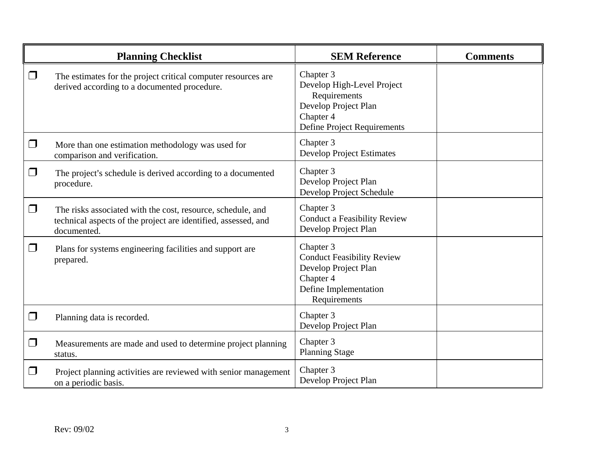|        | <b>Planning Checklist</b>                                                                                                                    | <b>SEM Reference</b>                                                                                                         | <b>Comments</b> |
|--------|----------------------------------------------------------------------------------------------------------------------------------------------|------------------------------------------------------------------------------------------------------------------------------|-----------------|
| $\Box$ | The estimates for the project critical computer resources are<br>derived according to a documented procedure.                                | Chapter 3<br>Develop High-Level Project<br>Requirements<br>Develop Project Plan<br>Chapter 4<br>Define Project Requirements  |                 |
| $\Box$ | More than one estimation methodology was used for<br>comparison and verification.                                                            | Chapter 3<br><b>Develop Project Estimates</b>                                                                                |                 |
| $\Box$ | The project's schedule is derived according to a documented<br>procedure.                                                                    | Chapter 3<br>Develop Project Plan<br>Develop Project Schedule                                                                |                 |
| $\Box$ | The risks associated with the cost, resource, schedule, and<br>technical aspects of the project are identified, assessed, and<br>documented. | Chapter 3<br><b>Conduct a Feasibility Review</b><br>Develop Project Plan                                                     |                 |
| $\Box$ | Plans for systems engineering facilities and support are<br>prepared.                                                                        | Chapter 3<br><b>Conduct Feasibility Review</b><br>Develop Project Plan<br>Chapter 4<br>Define Implementation<br>Requirements |                 |
| $\Box$ | Planning data is recorded.                                                                                                                   | Chapter 3<br>Develop Project Plan                                                                                            |                 |
| $\Box$ | Measurements are made and used to determine project planning<br>status.                                                                      | Chapter 3<br><b>Planning Stage</b>                                                                                           |                 |
| $\Box$ | Project planning activities are reviewed with senior management<br>on a periodic basis.                                                      | Chapter 3<br>Develop Project Plan                                                                                            |                 |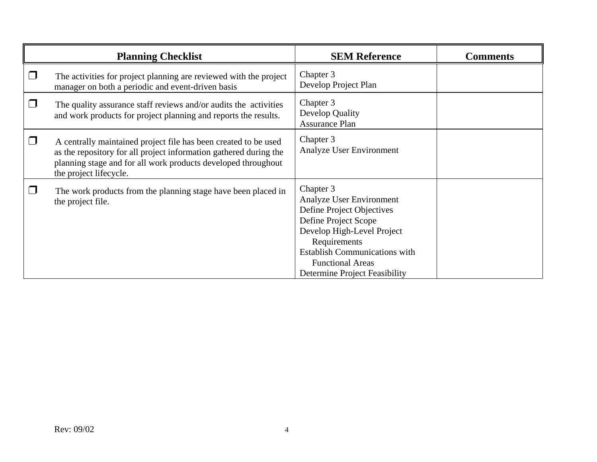|        | <b>Planning Checklist</b>                                                                                                                                                                                                       | <b>SEM Reference</b>                                                                                                                                                                                                                         | <b>Comments</b> |
|--------|---------------------------------------------------------------------------------------------------------------------------------------------------------------------------------------------------------------------------------|----------------------------------------------------------------------------------------------------------------------------------------------------------------------------------------------------------------------------------------------|-----------------|
| $\Box$ | The activities for project planning are reviewed with the project<br>manager on both a periodic and event-driven basis                                                                                                          | Chapter 3<br>Develop Project Plan                                                                                                                                                                                                            |                 |
| $\Box$ | The quality assurance staff reviews and/or audits the activities<br>and work products for project planning and reports the results.                                                                                             | Chapter 3<br>Develop Quality<br><b>Assurance Plan</b>                                                                                                                                                                                        |                 |
| $\Box$ | A centrally maintained project file has been created to be used<br>as the repository for all project information gathered during the<br>planning stage and for all work products developed throughout<br>the project lifecycle. | Chapter 3<br>Analyze User Environment                                                                                                                                                                                                        |                 |
|        | The work products from the planning stage have been placed in<br>the project file.                                                                                                                                              | Chapter 3<br>Analyze User Environment<br>Define Project Objectives<br>Define Project Scope<br>Develop High-Level Project<br>Requirements<br><b>Establish Communications with</b><br><b>Functional Areas</b><br>Determine Project Feasibility |                 |